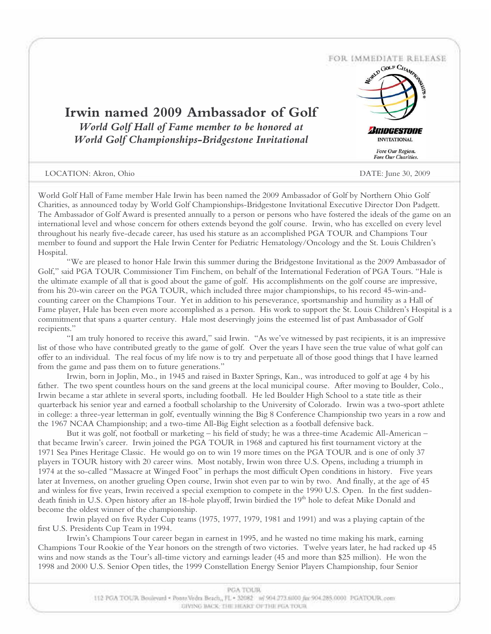

World Golf Hall of Fame member Hale Irwin has been named the 2009 Ambassador of Golf by Northern Ohio Golf Charities, as announced today by World Golf Championships-Bridgestone Invitational Executive Director Don Padgett. The Ambassador of Golf Award is presented annually to a person or persons who have fostered the ideals of the game on an international level and whose concern for others extends beyond the golf course. Irwin, who has excelled on every level throughout his nearly five-decade career, has used his stature as an accomplished PGA TOUR and Champions Tour member to found and support the Hale Irwin Center for Pediatric Hematology/Oncology and the St. Louis Children's Hospital.

"We are pleased to honor Hale Irwin this summer during the Bridgestone Invitational as the 2009 Ambassador of Golf," said PGA TOUR Commissioner Tim Finchem, on behalf of the International Federation of PGA Tours. "Hale is the ultimate example of all that is good about the game of golf. His accomplishments on the golf course are impressive, from his 20-win career on the PGA TOUR, which included three major championships, to his record 45-win-andcounting career on the Champions Tour. Yet in addition to his perseverance, sportsmanship and humility as a Hall of Fame player, Hale has been even more accomplished as a person. His work to support the St. Louis Children's Hospital is a commitment that spans a quarter century. Hale most deservingly joins the esteemed list of past Ambassador of Golf recipients."

"I am truly honored to receive this award," said Irwin. "As we've witnessed by past recipients, it is an impressive list of those who have contributed greatly to the game of golf. Over the years I have seen the true value of what golf can offer to an individual. The real focus of my life now is to try and perpetuate all of those good things that I have learned from the game and pass them on to future generations."

Irwin, born in Joplin, Mo., in 1945 and raised in Baxter Springs, Kan., was introduced to golf at age 4 by his father. The two spent countless hours on the sand greens at the local municipal course. After moving to Boulder, Colo., Irwin became a star athlete in several sports, including football. He led Boulder High School to a state title as their quarterback his senior year and earned a football scholarship to the University of Colorado. Irwin was a two-sport athlete in college: a three-year letterman in golf, eventually winning the Big 8 Conference Championship two years in a row and the 1967 NCAA Championship; and a two-time All-Big Eight selection as a football defensive back.

But it was golf, not football or marketing – his field of study; he was a three-time Academic All-American – that became Irwin's career. Irwin joined the PGA TOUR in 1968 and captured his first tournament victory at the 1971 Sea Pines Heritage Classic. He would go on to win 19 more times on the PGA TOUR and is one of only 37 players in TOUR history with 20 career wins. Most notably, Irwin won three U.S. Opens, including a triumph in 1974 at the so-called "Massacre at Winged Foot" in perhaps the most difficult Open conditions in history. Five years later at Inverness, on another grueling Open course, Irwin shot even par to win by two. And finally, at the age of 45 and winless for five years, Irwin received a special exemption to compete in the 1990 U.S. Open. In the first suddendeath finish in U.S. Open history after an 18-hole playoff, Irwin birdied the 19th hole to defeat Mike Donald and become the oldest winner of the championship.

Irwin played on five Ryder Cup teams (1975, 1977, 1979, 1981 and 1991) and was a playing captain of the first U.S. Presidents Cup Team in 1994.

Irwin's Champions Tour career began in earnest in 1995, and he wasted no time making his mark, earning Champions Tour Rookie of the Year honors on the strength of two victories. Twelve years later, he had racked up 45 wins and now stands as the Tour's all-time victory and earnings leader (45 and more than \$25 million). He won the 1998 and 2000 U.S. Senior Open titles, the 1999 Constellation Energy Senior Players Championship, four Senior

| <b><i>PGATOUR</i></b>                                                                               |  |
|-----------------------------------------------------------------------------------------------------|--|
| 112 PGA TOUR Boulevard = Ponte/Vedra Beach., FL = 32082 W 904 273.6000 fax:904.285.0000 PGATOUR.com |  |
| <b>COVING TACK: THE HEART OF THE PGA TOUR</b>                                                       |  |